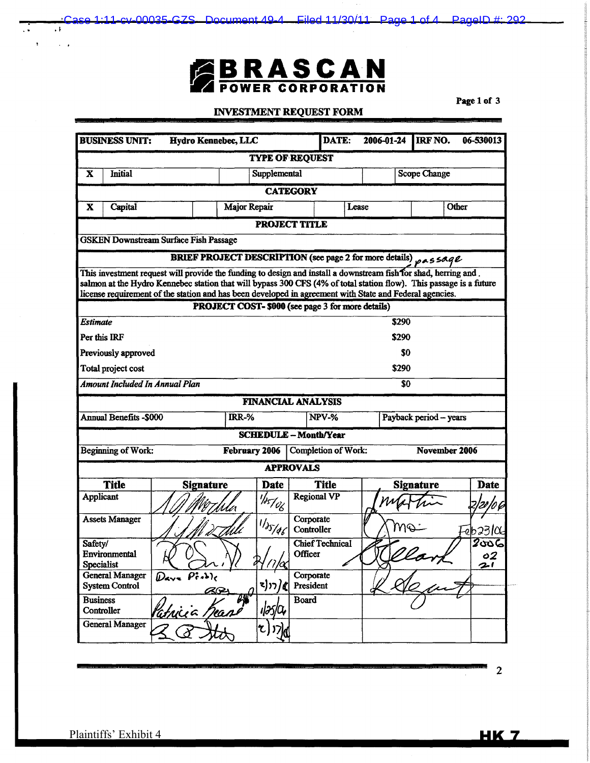# **BRASCAN**

Case 1:11-cv-00035-GZS Document 49-4 Filed 11/30/11 Page 1 of 4 PageID #: 292

## INVESTMENT REQUEST FORM

Page 1 of 3

| <b>BUSINESS UNIT:</b><br>Hydro Kennebec, LLC                                                                                                                 |                                                                                                                    |                                                                 | DATE:                   | 2006-01-24             | IRF NO.      | 06-530013              |                           |  |
|--------------------------------------------------------------------------------------------------------------------------------------------------------------|--------------------------------------------------------------------------------------------------------------------|-----------------------------------------------------------------|-------------------------|------------------------|--------------|------------------------|---------------------------|--|
| <b>TYPE OF REQUEST</b>                                                                                                                                       |                                                                                                                    |                                                                 |                         |                        |              |                        |                           |  |
| <b>Initial</b><br>X                                                                                                                                          |                                                                                                                    | Supplemental                                                    |                         |                        | Scope Change |                        |                           |  |
| <b>CATEGORY</b>                                                                                                                                              |                                                                                                                    |                                                                 |                         |                        |              |                        |                           |  |
| Capital<br>X                                                                                                                                                 |                                                                                                                    | Major Repair                                                    | Other<br>Lease          |                        |              |                        |                           |  |
| <b>PROJECT TITLE</b>                                                                                                                                         |                                                                                                                    |                                                                 |                         |                        |              |                        |                           |  |
|                                                                                                                                                              | <b>GSKEN Downstream Surface Fish Passage</b>                                                                       |                                                                 |                         |                        |              |                        |                           |  |
|                                                                                                                                                              |                                                                                                                    | BRIEF PROJECT DESCRIPTION (see page 2 for more details) pASSAqe |                         |                        |              |                        |                           |  |
|                                                                                                                                                              | This investment request will provide the funding to design and install a downstream fish for shad, herring and.    |                                                                 |                         |                        |              |                        |                           |  |
|                                                                                                                                                              | salmon at the Hydro Kennebec station that will bypass 300 CFS (4% of total station flow). This passage is a future |                                                                 |                         |                        |              |                        |                           |  |
| license requirement of the station and has been developed in agreement with State and Federal agencies.<br>PROJECT COST- \$000 (see page 3 for more details) |                                                                                                                    |                                                                 |                         |                        |              |                        |                           |  |
| <b>Estimate</b>                                                                                                                                              | \$290                                                                                                              |                                                                 |                         |                        |              |                        |                           |  |
| Per this IRF<br>\$290                                                                                                                                        |                                                                                                                    |                                                                 |                         |                        |              |                        |                           |  |
|                                                                                                                                                              | S0<br>Previously approved                                                                                          |                                                                 |                         |                        |              |                        |                           |  |
| Total project cost                                                                                                                                           |                                                                                                                    |                                                                 |                         |                        |              | \$290                  |                           |  |
| <b>Amount Included In Annual Plan</b>                                                                                                                        |                                                                                                                    |                                                                 |                         |                        |              | \$0                    |                           |  |
|                                                                                                                                                              |                                                                                                                    | <b>FINANCIAL ANALYSIS</b>                                       |                         |                        |              |                        |                           |  |
| <b>Annual Benefits -\$000</b>                                                                                                                                |                                                                                                                    | <b>IRR-%</b>                                                    |                         | NPV-%                  |              | Payback period - years |                           |  |
| <b>SCHEDULE - Month/Year</b>                                                                                                                                 |                                                                                                                    |                                                                 |                         |                        |              |                        |                           |  |
| <b>Beginning of Work:</b>                                                                                                                                    | November 2006<br>Completion of Work:<br>February 2006                                                              |                                                                 |                         |                        |              |                        |                           |  |
|                                                                                                                                                              |                                                                                                                    |                                                                 | <b>APPROVALS</b>        |                        |              |                        |                           |  |
| <b>Title</b>                                                                                                                                                 | <b>Signature</b>                                                                                                   | <b>Date</b>                                                     |                         | <b>Title</b>           |              | <b>Signature</b>       | <b>Date</b>               |  |
| Applicant                                                                                                                                                    |                                                                                                                    | $\frac{1}{s}$<br>Ma                                             |                         | <b>Regional VP</b>     |              |                        |                           |  |
| <b>Assets Manager</b>                                                                                                                                        |                                                                                                                    | 1/35/46<br>wv                                                   | Corporate<br>Controller |                        |              | MQ                     | Feb23106                  |  |
| Safety/<br><b>Environmental</b>                                                                                                                              | $\lambda$ r, Y                                                                                                     |                                                                 | Officer                 | <b>Chief Technical</b> |              |                        | $\overline{2}$ రాండ<br>02 |  |
| Specialist<br><b>General Manager</b>                                                                                                                         | $D$ ava $P^* \rightarrow R$                                                                                        | 44/7/cg                                                         | Corporate               |                        |              |                        | 2 <sub>1</sub>            |  |
| <b>System Control</b>                                                                                                                                        |                                                                                                                    | <)ㄲ/《                                                           | President               |                        |              |                        |                           |  |
| <b>Business</b><br>Controller                                                                                                                                | <u> Patricia Bean</u>                                                                                              | $\ell \bar{\ell}$<br>ıləslor                                    | <b>Board</b>            |                        |              |                        |                           |  |
| <b>General Manager</b>                                                                                                                                       |                                                                                                                    | $\mathfrak{r}(z)$ $\mathfrak{p}_\beta$                          |                         |                        |              |                        |                           |  |

2

H.

 $\ddot{\phantom{1}}$ 

 $\sim$   $\sim$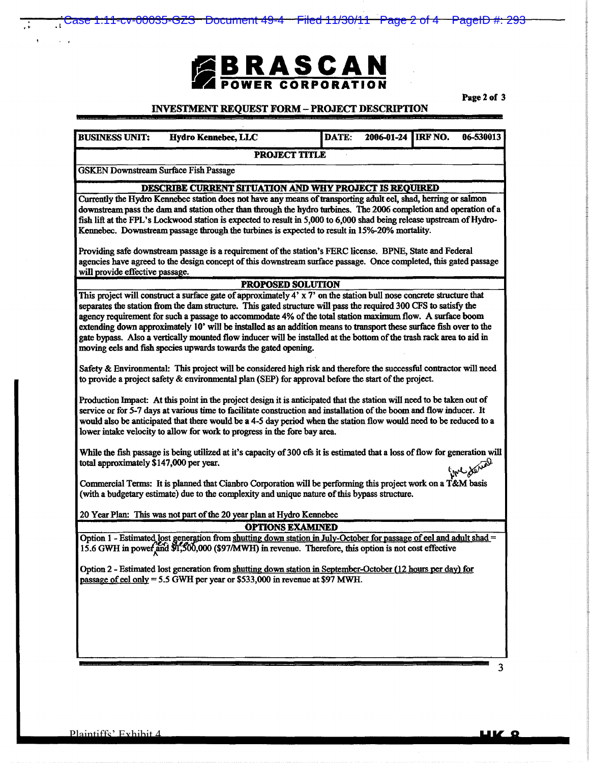# **EBRASCAN FOWER CORPORATION**

Case 1:11-cv-00035-GZS Document 49-4 Filed 11/30/11 Page 2 of 4 PageID #: 293

Page 2 of 3

#### INVESTMENT REQUEST FORM- PROJECT DESCRIPTION

PROJECT TITLE

|                       |                     |       | $2006-01-24$ RF NO. |           |
|-----------------------|---------------------|-------|---------------------|-----------|
| <b>BUSINESS UNIT:</b> | Hydro Kennebec, LLC | DATE: |                     | 06-530013 |
|                       |                     |       |                     |           |
|                       |                     |       |                     |           |

• • . I

GSK.EN Downstream Surface Fish Passage

#### DESCRIBE CURRENT SITUATION AND WHY PROJECf IS REQUIRED

Currently the Hydro Kennebec station does not have any means of transporting adult eel, shad, herring or salmon downstream pass the dam and station other than through the hydro turbines. The 2006 completion and operation of a fish lift at the FPL's Lockwood station is expected to result in 5,000 to 6,000 shad being release upstream of Hydro-Kennebec. Downstream passage through the turbines is expected to result in 15%-20% mortality.

Providing safe downstream passage is a requirement of the station's FERC license. BPNE, State and Federal agencies have agreed to the design concept of this downstream surface passage. Once completed, this gated passage will provide effective passage.

#### PROPOSED SOLUTION

This project will construct a surface gate of approximately 4' x 7' on the station bull nose concrete structure that separates the station from the dam structure. This gated structure will pass the required 300 CFS to satisfy the agency requirement for such a passage to accommodate 4% of the total station maximum flow. A surface boom extending down approximately 10' will be installed as an addition means to transport these surface fish over to the gate bypass. Also a vertically mounted flow inducer will be installed at the bottom of the trash rack area to aid in moving eels and fish species upwards towards the gated opening.

Safety & Environmental: This project will be considered high risk and therefore the successful contractor will need to provide a project safety & environmental plan (SEP) for approval before the start of the project.

Production Impact: At this point in the project design it is anticipated that the station will need to be taken out of service or for 5-7 days at various time to facilitate construction and installation of the boom and flow inducer. It would also be anticipated that there would be a 4-5 day period when the station flow would need to be reduced to a lower intake velocity to allow for work to progress in the fore bay area.

While the fish passage is being utilized at it's capacity of 300 cfs it is estimated that a loss of flow for generation will total approximately \$147,000 per year.  $\sqrt{2}$ <br> $\sqrt{2}$ 

Commercial Terms: It is planned that Cianbro Corporation will be performing this project work on a T &M basis (with a budgetary estimate) due to the complexity and unique nature of this bypass structure.

20 Year Plan: This was not part of the 20 year plan at Hydro Kennebec

OPTIONS EXAMINED

Option 1 - Estimated lost generation from shutting down station in July-October for passage of eel and adult shad= 15.6 GWH in power and \$1,500,000 (\$97/MWH) in revenue. Therefore, this option is not cost effective

Option 2 - Estimated lost generation from shutting down station in September-October (12 hours per day) for passage of eel only  $= 5.5$  GWH per year or \$533,000 in revenue at \$97 MWH.

HK 8

3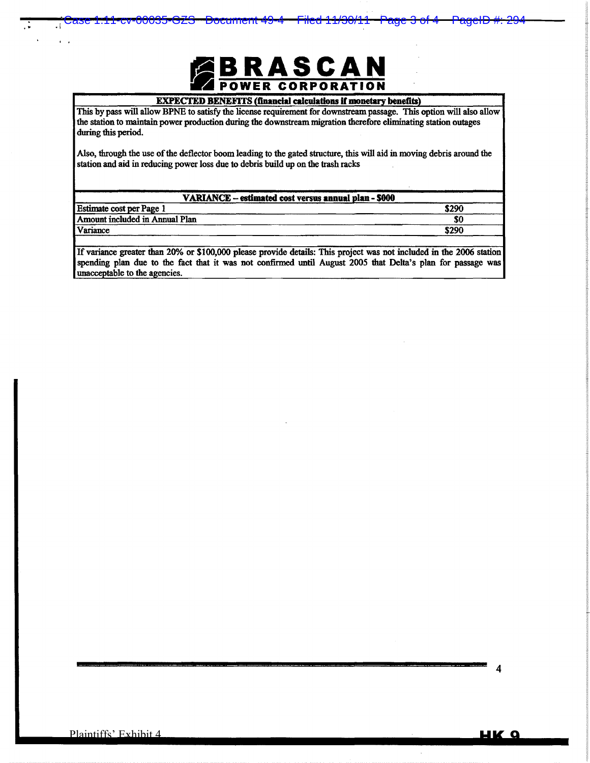

Case 1:11-cv-00035-GZS Document 49-4 Filed 11/30/11 Page 3 of 4 PageID #: 294

#### EXPECTED BENEFITS (financial calculations if monetary benefits)

This by pass will allow BPNE to satisfy the license requirement for downstream passage. This option will also allow the station to maintain power production during the downstream migration therefore eliminating station outages during this period.

Also, through the use of the deflector boom leading to the gated structure, this will aid in moving debris around the station and aid in reducing power loss due to debris build up on the trash racks

| VARIANCE - estimated cost versus annual plan - \$000 |       |  |  |  |  |
|------------------------------------------------------|-------|--|--|--|--|
| <b>Estimate cost per Page 1</b>                      | \$290 |  |  |  |  |
| Amount included in Annual Plan                       | \$0   |  |  |  |  |
| Variance                                             | \$290 |  |  |  |  |
|                                                      |       |  |  |  |  |

If variance greater than 20% or \$100,000 please provide details: This project was not included in the 2006 station spending plan due to the fact that it was not confirmed until August 2005 that Delta's plan for passage was unacceptable to the agencies.

 $\ddot{\cdot}$  .i